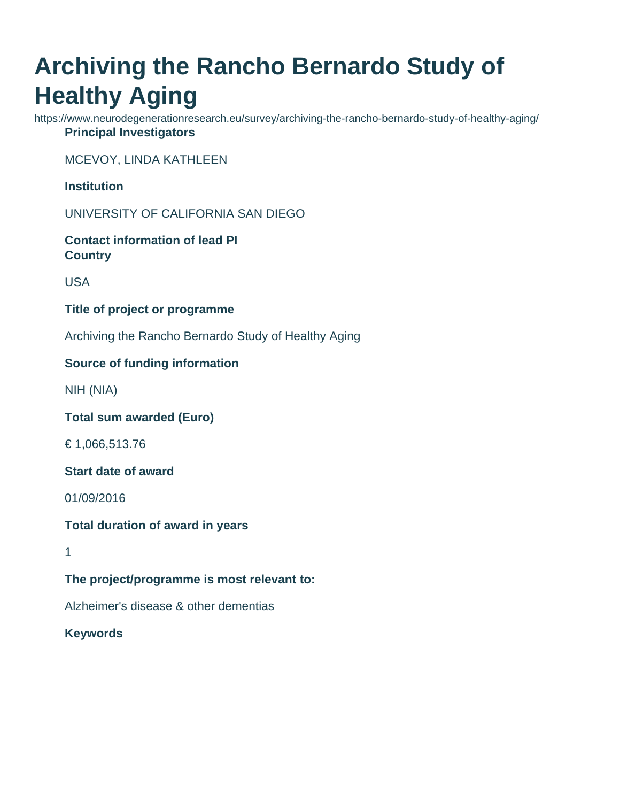# **Archiving the Rancho Bernardo Study of Healthy Aging**

https://www.neurodegenerationresearch.eu/survey/archiving-the-rancho-bernardo-study-of-healthy-aging/ **Principal Investigators**

MCEVOY, LINDA KATHLEEN

**Institution**

UNIVERSITY OF CALIFORNIA SAN DIEGO

**Contact information of lead PI Country**

USA

**Title of project or programme**

Archiving the Rancho Bernardo Study of Healthy Aging

### **Source of funding information**

NIH (NIA)

**Total sum awarded (Euro)**

€ 1,066,513.76

**Start date of award**

01/09/2016

**Total duration of award in years**

1

**The project/programme is most relevant to:**

Alzheimer's disease & other dementias

**Keywords**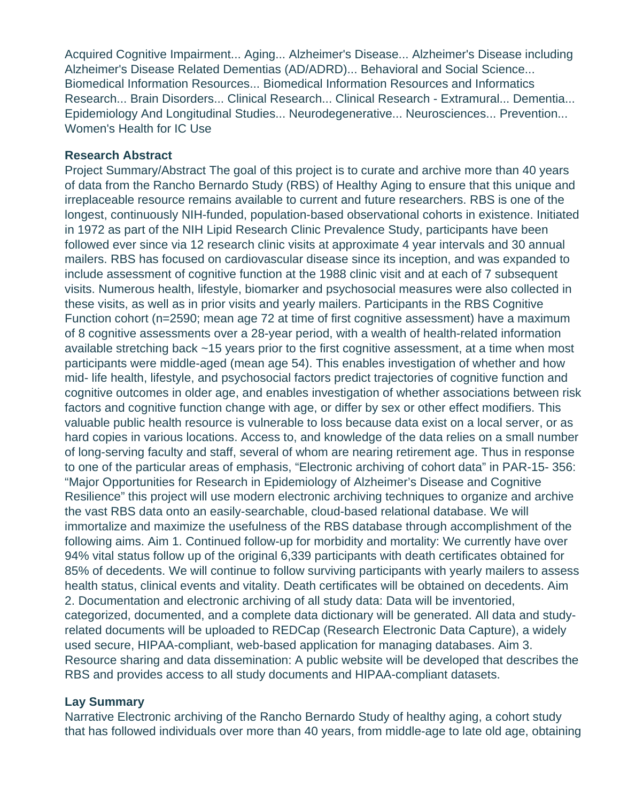Acquired Cognitive Impairment... Aging... Alzheimer's Disease... Alzheimer's Disease including Alzheimer's Disease Related Dementias (AD/ADRD)... Behavioral and Social Science... Biomedical Information Resources... Biomedical Information Resources and Informatics Research... Brain Disorders... Clinical Research... Clinical Research - Extramural... Dementia... Epidemiology And Longitudinal Studies... Neurodegenerative... Neurosciences... Prevention... Women's Health for IC Use

#### **Research Abstract**

Project Summary/Abstract The goal of this project is to curate and archive more than 40 years of data from the Rancho Bernardo Study (RBS) of Healthy Aging to ensure that this unique and irreplaceable resource remains available to current and future researchers. RBS is one of the longest, continuously NIH-funded, population-based observational cohorts in existence. Initiated in 1972 as part of the NIH Lipid Research Clinic Prevalence Study, participants have been followed ever since via 12 research clinic visits at approximate 4 year intervals and 30 annual mailers. RBS has focused on cardiovascular disease since its inception, and was expanded to include assessment of cognitive function at the 1988 clinic visit and at each of 7 subsequent visits. Numerous health, lifestyle, biomarker and psychosocial measures were also collected in these visits, as well as in prior visits and yearly mailers. Participants in the RBS Cognitive Function cohort (n=2590; mean age 72 at time of first cognitive assessment) have a maximum of 8 cognitive assessments over a 28-year period, with a wealth of health-related information available stretching back ~15 years prior to the first cognitive assessment, at a time when most participants were middle-aged (mean age 54). This enables investigation of whether and how mid- life health, lifestyle, and psychosocial factors predict trajectories of cognitive function and cognitive outcomes in older age, and enables investigation of whether associations between risk factors and cognitive function change with age, or differ by sex or other effect modifiers. This valuable public health resource is vulnerable to loss because data exist on a local server, or as hard copies in various locations. Access to, and knowledge of the data relies on a small number of long-serving faculty and staff, several of whom are nearing retirement age. Thus in response to one of the particular areas of emphasis, "Electronic archiving of cohort data" in PAR-15- 356: "Major Opportunities for Research in Epidemiology of Alzheimer's Disease and Cognitive Resilience" this project will use modern electronic archiving techniques to organize and archive the vast RBS data onto an easily-searchable, cloud-based relational database. We will immortalize and maximize the usefulness of the RBS database through accomplishment of the following aims. Aim 1. Continued follow-up for morbidity and mortality: We currently have over 94% vital status follow up of the original 6,339 participants with death certificates obtained for 85% of decedents. We will continue to follow surviving participants with yearly mailers to assess health status, clinical events and vitality. Death certificates will be obtained on decedents. Aim 2. Documentation and electronic archiving of all study data: Data will be inventoried, categorized, documented, and a complete data dictionary will be generated. All data and studyrelated documents will be uploaded to REDCap (Research Electronic Data Capture), a widely used secure, HIPAA-compliant, web-based application for managing databases. Aim 3. Resource sharing and data dissemination: A public website will be developed that describes the RBS and provides access to all study documents and HIPAA-compliant datasets.

#### **Lay Summary**

Narrative Electronic archiving of the Rancho Bernardo Study of healthy aging, a cohort study that has followed individuals over more than 40 years, from middle-age to late old age, obtaining